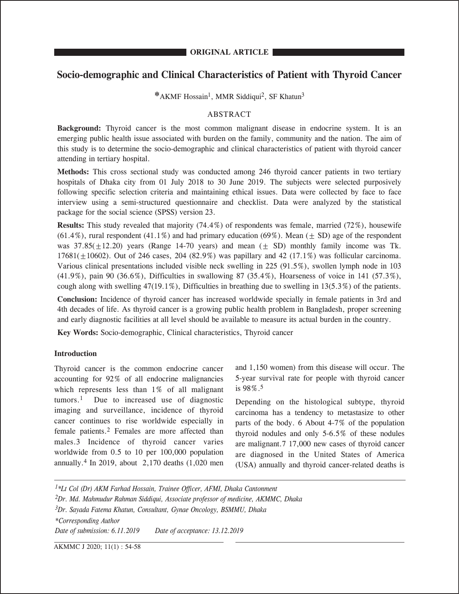# **Socio-demographic and Clinical Characteristics of Patient with Thyroid Cancer**

**\***AKMF Hossain1, MMR Siddiqui2, SF Khatun3

# ABSTRACT

**Background:** Thyroid cancer is the most common malignant disease in endocrine system. It is an emerging public health issue associated with burden on the family, community and the nation. The aim of this study is to determine the socio-demographic and clinical characteristics of patient with thyroid cancer attending in tertiary hospital.

**Methods:** This cross sectional study was conducted among 246 thyroid cancer patients in two tertiary hospitals of Dhaka city from 01 July 2018 to 30 June 2019. The subjects were selected purposively following specific selection criteria and maintaining ethical issues. Data were collected by face to face interview using a semi-structured questionnaire and checklist. Data were analyzed by the statistical package for the social science (SPSS) version 23.

**Results:** This study revealed that majority (74.4%) of respondents was female, married (72%), housewife  $(61.4\%)$ , rural respondent  $(41.1\%)$  and had primary education  $(69\%)$ . Mean  $(4.5D)$  age of the respondent was  $37.85(+12.20)$  years (Range 14-70 years) and mean  $(+$  SD) monthly family income was Tk. 17681( $+10602$ ). Out of 246 cases, 204 (82.9%) was papillary and 42 (17.1%) was follicular carcinoma. Various clinical presentations included visible neck swelling in 225 (91.5%), swollen lymph node in 103 (41.9%), pain 90 (36.6%), Difficulties in swallowing 87 (35.4%), Hoarseness of voice in 141 (57.3%), cough along with swelling  $47(19.1\%)$ , Difficulties in breathing due to swelling in  $13(5.3\%)$  of the patients.

**Conclusion:** Incidence of thyroid cancer has increased worldwide specially in female patients in 3rd and 4th decades of life. As thyroid cancer is a growing public health problem in Bangladesh, proper screening and early diagnostic facilities at all level should be available to measure its actual burden in the country.

**Key Words:** Socio-demographic, Clinical characteristics, Thyroid cancer

# **Introduction**

Thyroid cancer is the common endocrine cancer accounting for 92% of all endocrine malignancies which represents less than 1% of all malignant tumors.1 Due to increased use of diagnostic imaging and surveillance, incidence of thyroid cancer continues to rise worldwide especially in female patients.2 Females are more affected than males.3 Incidence of thyroid cancer varies worldwide from 0.5 to 10 per 100,000 population annually.4 In 2019, about 2,170 deaths (1,020 men

and 1,150 women) from this disease will occur. The 5-year survival rate for people with thyroid cancer is 98%.5

Depending on the histological subtype, thyroid carcinoma has a tendency to metastasize to other parts of the body. 6 About 4-7% of the population thyroid nodules and only 5-6.5% of these nodules are malignant.7 17,000 new cases of thyroid cancer are diagnosed in the United States of America (USA) annually and thyroid cancer-related deaths is

*1\*Lt Col (Dr) AKM Farhad Hossain, Trainee Officer, AFMI, Dhaka Cantonment 2Dr. Md. Mahmudur Rahman Siddiqui, Associate professor of medicine, AKMMC, Dhaka 3Dr. Sayada Fatema Khatun, Consultant, Gynae Oncology, BSMMU, Dhaka \*Corresponding Author Date of submission: 6.11.2019 Date of acceptance: 13.12.2019* 

AKMMC J 2020; 11(1) : 54-58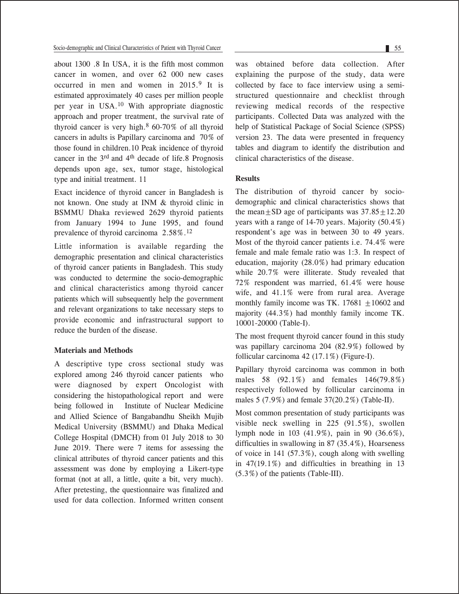about 1300 .8 In USA, it is the fifth most common cancer in women, and over 62 000 new cases occurred in men and women in 2015.9 It is estimated approximately 40 cases per million people per year in USA.10 With appropriate diagnostic approach and proper treatment, the survival rate of thyroid cancer is very high.8 60-70% of all thyroid cancers in adults is Papillary carcinoma and 70% of those found in children.10 Peak incidence of thyroid cancer in the 3rd and 4th decade of life.8 Prognosis depends upon age, sex, tumor stage, histological type and initial treatment. 11

Exact incidence of thyroid cancer in Bangladesh is not known. One study at INM & thyroid clinic in BSMMU Dhaka reviewed 2629 thyroid patients from January 1994 to June 1995, and found prevalence of thyroid carcinoma 2.58%.12

Little information is available regarding the demographic presentation and clinical characteristics of thyroid cancer patients in Bangladesh. This study was conducted to determine the socio-demographic and clinical characteristics among thyroid cancer patients which will subsequently help the government and relevant organizations to take necessary steps to provide economic and infrastructural support to reduce the burden of the disease.

#### **Materials and Methods**

A descriptive type cross sectional study was explored among 246 thyroid cancer patients who were diagnosed by expert Oncologist with considering the histopathological report and were being followed in Institute of Nuclear Medicine and Allied Science of Bangabandhu Sheikh Mujib Medical University (BSMMU) and Dhaka Medical College Hospital (DMCH) from 01 July 2018 to 30 June 2019. There were 7 items for assessing the clinical attributes of thyroid cancer patients and this assessment was done by employing a Likert-type format (not at all, a little, quite a bit, very much). After pretesting, the questionnaire was finalized and used for data collection. Informed written consent

was obtained before data collection. After explaining the purpose of the study, data were collected by face to face interview using a semistructured questionnaire and checklist through reviewing medical records of the respective participants. Collected Data was analyzed with the help of Statistical Package of Social Science (SPSS) version 23. The data were presented in frequency tables and diagram to identify the distribution and clinical characteristics of the disease.

## **Results**

The distribution of thyroid cancer by sociodemographic and clinical characteristics shows that the mean+SD age of participants was  $37.85+12.20$ years with a range of 14-70 years. Majority (50.4%) respondent's age was in between 30 to 49 years. Most of the thyroid cancer patients i.e. 74.4% were female and male female ratio was 1:3. In respect of education, majority (28.0%) had primary education while 20.7% were illiterate. Study revealed that 72% respondent was married, 61.4% were house wife, and 41.1% were from rural area. Average monthly family income was TK.  $17681 + 10602$  and majority (44.3%) had monthly family income TK. 10001-20000 (Table-I).

The most frequent thyroid cancer found in this study was papillary carcinoma 204 (82.9%) followed by follicular carcinoma 42 (17.1%) (Figure-I).

Papillary thyroid carcinoma was common in both males 58 (92.1%) and females 146(79.8%) respectively followed by follicular carcinoma in males 5 (7.9%) and female 37(20.2%) (Table-II).

Most common presentation of study participants was visible neck swelling in 225 (91.5%), swollen lymph node in 103 (41.9%), pain in 90 (36.6%), difficulties in swallowing in 87 (35.4%), Hoarseness of voice in 141 (57.3%), cough along with swelling in 47(19.1%) and difficulties in breathing in 13 (5.3%) of the patients (Table-III).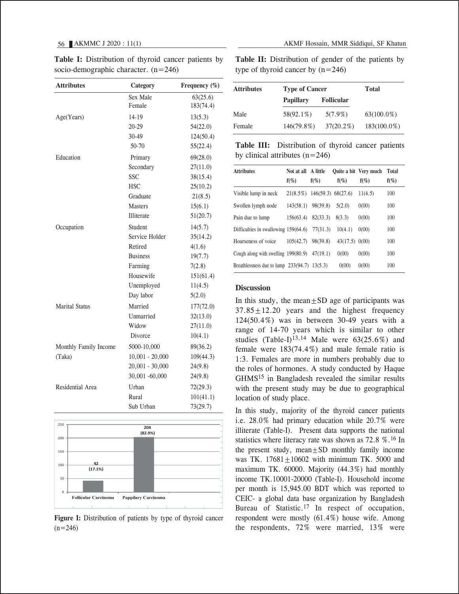| <b>Attributes</b>     | Category          | Frequency (%) |
|-----------------------|-------------------|---------------|
|                       | Sex Male          | 63(25.6)      |
|                       | Female            | 183(74.4)     |
| Age(Years)            | 14-19             | 13(5.3)       |
|                       | 20-29             | 54(22.0)      |
|                       | 30-49             | 124(50.4)     |
|                       | 50-70             | 55(22.4)      |
| Education             | Primary           | 69(28.0)      |
|                       | Secondary         | 27(11.0)      |
|                       | <b>SSC</b>        | 38(15.4)      |
|                       | <b>HSC</b>        | 25(10.2)      |
|                       | Graduate          | 21(8.5)       |
|                       | <b>Masters</b>    | 15(6.1)       |
|                       | Illiterate        | 51(20.7)      |
| Occupation            | Student           | 14(5.7)       |
|                       | Service Holder    | 35(14.2)      |
|                       | Retired           | 4(1.6)        |
|                       | <b>Business</b>   | 19(7.7)       |
|                       | Farming           | 7(2.8)        |
|                       | Housewife         | 151(61.4)     |
|                       | Unemployed        | 11(4.5)       |
|                       | Day labor         | 5(2.0)        |
| <b>Marital Status</b> | Married           | 177(72.0)     |
|                       | Unmarried         | 32(13.0)      |
|                       | Widow             | 27(11.0)      |
|                       | Divorce           | 10(4.1)       |
| Monthly Family Income | 5000-10,000       | 89(36.2)      |
| (Taka)                | $10,001 - 20,000$ | 109(44.3)     |
|                       | $20,001 - 30,000$ | 24(9.8)       |
|                       | 30,001 -60,000    | 24(9.8)       |
| Residential Area      | Urban             | 72(29.3)      |
|                       | Rural             | 101(41.1)     |
|                       | Sub Urban         | 73(29.7)      |

**Table I:** Distribution of thyroid cancer patients by socio-demographic character. (n=246)

**42 (17.1%) 204 (82.9%)** 0 50 100 150 200 250 **Follicular Carcinoma Pappilary Carcinoma**

Figure I: Distribution of patients by type of thyroid cancer  $(n=246)$ 

56 AKMMC J 2020 : 11(1) AKMF Hossain, MMR Siddiqui, SF Khatun

Table II: Distribution of gender of the patients by type of thyroid cancer by  $(n=246)$ 

| <b>Attributes</b> | <b>Type of Cancer</b> | Total             |                |
|-------------------|-----------------------|-------------------|----------------|
|                   | <b>Papillary</b>      | <b>Follicular</b> |                |
| Male              | 58(92.1%)             | $5(7.9\%)$        | $63(100.0\%)$  |
| Female            | 146(79.8%)            | $37(20.2\%)$      | $183(100.0\%)$ |

**Table III:** Distribution of thyroid cancer patients by clinical attributes  $(n=246)$ 

| <b>Attributes</b>                              | Not at all<br>$f(\%)$       | A little<br>$f(\%)$ | $f(\%)$          | <b>Ouite a bit Very much</b><br>$f(\%)$ | <b>Total</b><br>$f(\%)$ |
|------------------------------------------------|-----------------------------|---------------------|------------------|-----------------------------------------|-------------------------|
| Visible lump in neck                           | 21(8.5%) 146(59.3) 68(27.6) |                     |                  | 11(4.5)                                 | 100                     |
| Swollen lymph node                             | 143(58.1)                   | 98(39.8)            | 5(2.0)           | 0(00)                                   | 100                     |
| Pain due to lump                               | 156(63.4)                   | 82(33.3)            | 8(3.3)           | 0(00)                                   | 100                     |
| Difficulties in swallowing 159(64.6)           |                             | 77(31.3)            | 10(4.1)          | 0(00)                                   | 100                     |
| Hoarseness of voice                            | 105(42.7)                   | 98(39.8)            | $43(17.5)$ 0(00) |                                         | 100                     |
| Cough along with swelling $199(80.9)$          |                             | 47(19.1)            | 0(00)            | 0(00)                                   | 100                     |
| Breathlessness due to lump $233(94.7)$ 13(5.3) |                             |                     | 0(00)            | 0(00)                                   | 100                     |

## **Discussion**

In this study, the mean $\pm$ SD age of participants was  $37.85 \pm 12.20$  years and the highest frequency 124(50.4%) was in between 30-49 years with a range of 14-70 years which is similar to other studies (Table-I)<sup>13,14</sup> Male were  $63(25.6\%)$  and female were 183(74.4%) and male female ratio is 1:3. Females are more in numbers probably due to the roles of hormones. A study conducted by Haque GHMS15 in Bangladesh revealed the similar results with the present study may be due to geographical location of study place.

In this study, majority of the thyroid cancer patients i.e. 28.0% had primary education while 20.7% were illiterate (Table-I). Present data supports the national statistics where literacy rate was shown as  $72.8\%$ .<sup>16</sup> In the present study, mean $\pm$ SD monthly family income was TK.  $17681 \pm 10602$  with minimum TK. 5000 and maximum TK. 60000. Majority (44.3%) had monthly income TK.10001-20000 (Table-I). Household income per month is 15,945.00 BDT which was reported to CEIC- a global data base organization by Bangladesh Bureau of Statistic.<sup>17</sup> In respect of occupation, respondent were mostly (61.4%) house wife. Among the respondents, 72% were married, 13% were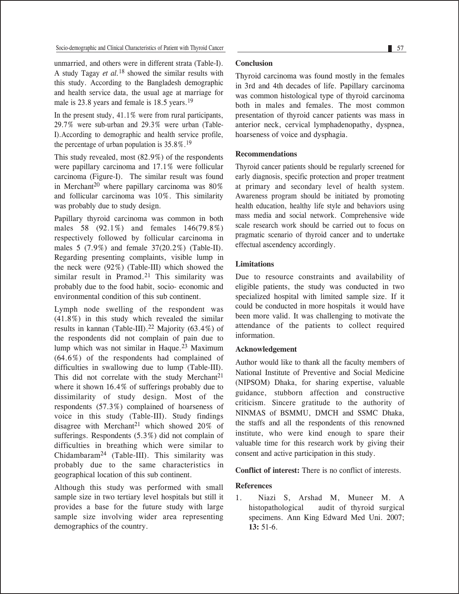unmarried, and others were in different strata (Table-I). A study Tagay *et al.*18 showed the similar results with this study. According to the Bangladesh demographic and health service data, the usual age at marriage for male is 23.8 years and female is 18.5 years.<sup>19</sup>

In the present study, 41.1% were from rural participants, 29.7% were sub-urban and 29.3% were urban (Table-I).According to demographic and health service profile, the percentage of urban population is  $35.8\%$ .<sup>19</sup>

This study revealed, most (82.9%) of the respondents were papillary carcinoma and 17.1% were follicular carcinoma (Figure-I). The similar result was found in Merchant<sup>20</sup> where papillary carcinoma was  $80\%$ and follicular carcinoma was 10%. This similarity was probably due to study design.

Papillary thyroid carcinoma was common in both males 58 (92.1%) and females 146(79.8%) respectively followed by follicular carcinoma in males 5 (7.9%) and female 37(20.2%) (Table-II). Regarding presenting complaints, visible lump in the neck were (92%) (Table-III) which showed the similar result in Pramod.<sup>21</sup> This similarity was probably due to the food habit, socio- economic and environmental condition of this sub continent.

Lymph node swelling of the respondent was (41.8%) in this study which revealed the similar results in kannan (Table-III).<sup>22</sup> Majority (63.4%) of the respondents did not complain of pain due to lump which was not similar in Haque.23 Maximum (64.6%) of the respondents had complained of difficulties in swallowing due to lump (Table-III). This did not correlate with the study Merchant<sup>21</sup> where it shown 16.4% of sufferings probably due to dissimilarity of study design. Most of the respondents (57.3%) complained of hoarseness of voice in this study (Table-III). Study findings disagree with Merchant<sup>21</sup> which showed  $20\%$  of sufferings. Respondents (5.3%) did not complain of difficulties in breathing which were similar to Chidambaram24 (Table-III). This similarity was probably due to the same characteristics in geographical location of this sub continent.

Although this study was performed with small sample size in two tertiary level hospitals but still it provides a base for the future study with large sample size involving wider area representing demographics of the country.

#### **Conclusion**

Thyroid carcinoma was found mostly in the females in 3rd and 4th decades of life. Papillary carcinoma was common histological type of thyroid carcinoma both in males and females. The most common presentation of thyroid cancer patients was mass in anterior neck, cervical lymphadenopathy, dyspnea, hoarseness of voice and dysphagia.

## **Recommendations**

Thyroid cancer patients should be regularly screened for early diagnosis, specific protection and proper treatment at primary and secondary level of health system. Awareness program should be initiated by promoting health education, healthy life style and behaviors using mass media and social network. Comprehensive wide scale research work should be carried out to focus on pragmatic scenario of thyroid cancer and to undertake effectual ascendency accordingly.

# **Limitations**

Due to resource constraints and availability of eligible patients, the study was conducted in two specialized hospital with limited sample size. If it could be conducted in more hospitals it would have been more valid. It was challenging to motivate the attendance of the patients to collect required information.

## **Acknowledgement**

Author would like to thank all the faculty members of National Institute of Preventive and Social Medicine (NIPSOM) Dhaka, for sharing expertise, valuable guidance, stubborn affection and constructive criticism. Sincere gratitude to the authority of NINMAS of BSMMU, DMCH and SSMC Dhaka, the staffs and all the respondents of this renowned institute, who were kind enough to spare their valuable time for this research work by giving their consent and active participation in this study.

## **Conflict of interest:** There is no conflict of interests.

# **References**

1. Niazi S, Arshad M, Muneer M. A histopathological audit of thyroid surgical specimens. Ann King Edward Med Uni. 2007; **13:** 51-6.